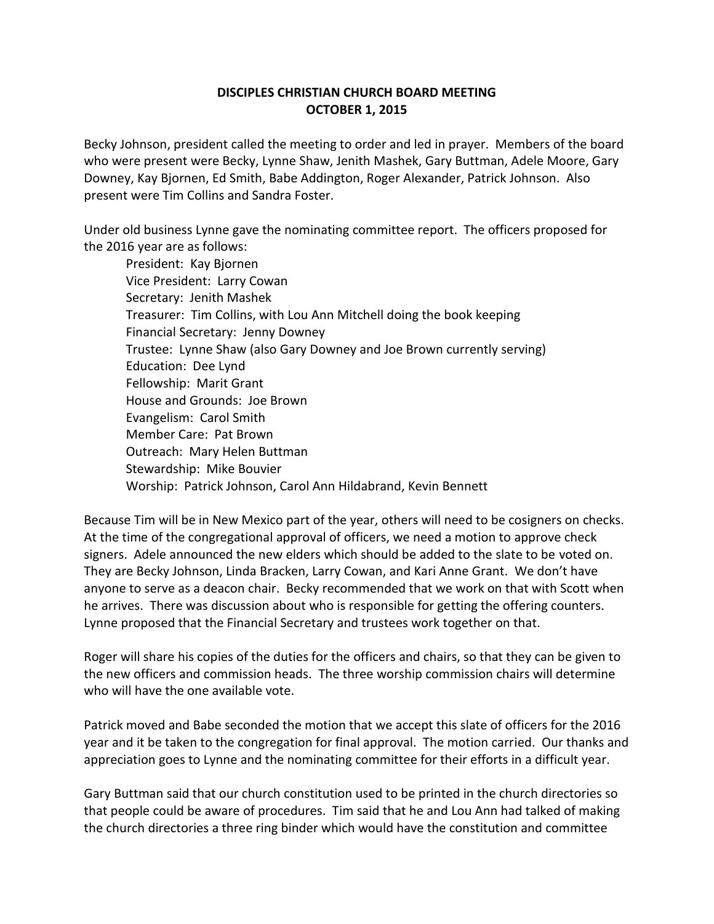## **DISCIPLES CHRISTIAN CHURCH BOARD MEETING OCTOBER 1, 2015**

Becky Johnson, president called the meeting to order and led in prayer. Members of the board who were present were Becky, Lynne Shaw, Jenith Mashek, Gary Buttman, Adele Moore, Gary Downey, Kay Bjornen, Ed Smith, Babe Addington, Roger Alexander, Patrick Johnson. Also present were Tim Collins and Sandra Foster.

Under old business Lynne gave the nominating committee report. The officers proposed for the 2016 year are as follows:

President: Kay Bjornen Vice President: Larry Cowan Secretary: Jenith Mashek Treasurer: Tim Collins, with Lou Ann Mitchell doing the book keeping Financial Secretary: Jenny Downey Trustee: Lynne Shaw (also Gary Downey and Joe Brown currently serving) Education: Dee Lynd Fellowship: Marit Grant House and Grounds: Joe Brown Evangelism: Carol Smith Member Care: Pat Brown Outreach: Mary Helen Buttman Stewardship: Mike Bouvier Worship: Patrick Johnson, Carol Ann Hildabrand, Kevin Bennett

Because Tim will be in New Mexico part of the year, others will need to be cosigners on checks. At the time of the congregational approval of officers, we need a motion to approve check signers. Adele announced the new elders which should be added to the slate to be voted on. They are Becky Johnson, Linda Bracken, Larry Cowan, and Kari Anne Grant. We don't have anyone to serve as a deacon chair. Becky recommended that we work on that with Scott when he arrives. There was discussion about who is responsible for getting the offering counters. Lynne proposed that the Financial Secretary and trustees work together on that.

Roger will share his copies of the duties for the officers and chairs, so that they can be given to the new officers and commission heads. The three worship commission chairs will determine who will have the one available vote.

Patrick moved and Babe seconded the motion that we accept this slate of officers for the 2016 year and it be taken to the congregation for final approval. The motion carried. Our thanks and appreciation goes to Lynne and the nominating committee for their efforts in a difficult year.

Gary Buttman said that our church constitution used to be printed in the church directories so that people could be aware of procedures. Tim said that he and Lou Ann had talked of making the church directories a three ring binder which would have the constitution and committee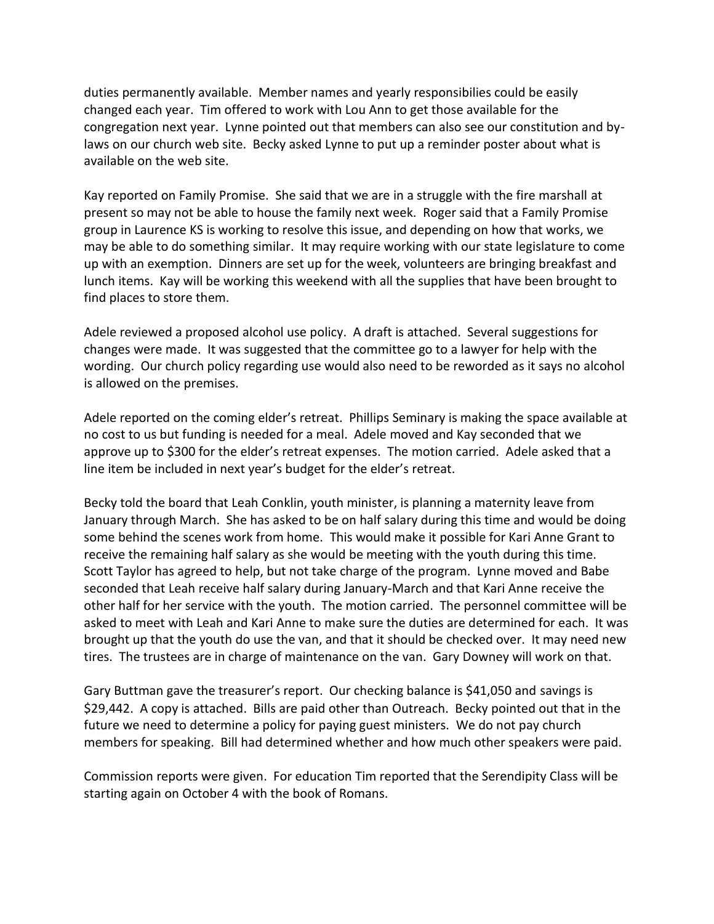duties permanently available. Member names and yearly responsibilies could be easily changed each year. Tim offered to work with Lou Ann to get those available for the congregation next year. Lynne pointed out that members can also see our constitution and bylaws on our church web site. Becky asked Lynne to put up a reminder poster about what is available on the web site.

Kay reported on Family Promise. She said that we are in a struggle with the fire marshall at present so may not be able to house the family next week. Roger said that a Family Promise group in Laurence KS is working to resolve this issue, and depending on how that works, we may be able to do something similar. It may require working with our state legislature to come up with an exemption. Dinners are set up for the week, volunteers are bringing breakfast and lunch items. Kay will be working this weekend with all the supplies that have been brought to find places to store them.

Adele reviewed a proposed alcohol use policy. A draft is attached. Several suggestions for changes were made. It was suggested that the committee go to a lawyer for help with the wording. Our church policy regarding use would also need to be reworded as it says no alcohol is allowed on the premises.

Adele reported on the coming elder's retreat. Phillips Seminary is making the space available at no cost to us but funding is needed for a meal. Adele moved and Kay seconded that we approve up to \$300 for the elder's retreat expenses. The motion carried. Adele asked that a line item be included in next year's budget for the elder's retreat.

Becky told the board that Leah Conklin, youth minister, is planning a maternity leave from January through March. She has asked to be on half salary during this time and would be doing some behind the scenes work from home. This would make it possible for Kari Anne Grant to receive the remaining half salary as she would be meeting with the youth during this time. Scott Taylor has agreed to help, but not take charge of the program. Lynne moved and Babe seconded that Leah receive half salary during January-March and that Kari Anne receive the other half for her service with the youth. The motion carried. The personnel committee will be asked to meet with Leah and Kari Anne to make sure the duties are determined for each. It was brought up that the youth do use the van, and that it should be checked over. It may need new tires. The trustees are in charge of maintenance on the van. Gary Downey will work on that.

Gary Buttman gave the treasurer's report. Our checking balance is \$41,050 and savings is \$29,442. A copy is attached. Bills are paid other than Outreach. Becky pointed out that in the future we need to determine a policy for paying guest ministers. We do not pay church members for speaking. Bill had determined whether and how much other speakers were paid.

Commission reports were given. For education Tim reported that the Serendipity Class will be starting again on October 4 with the book of Romans.